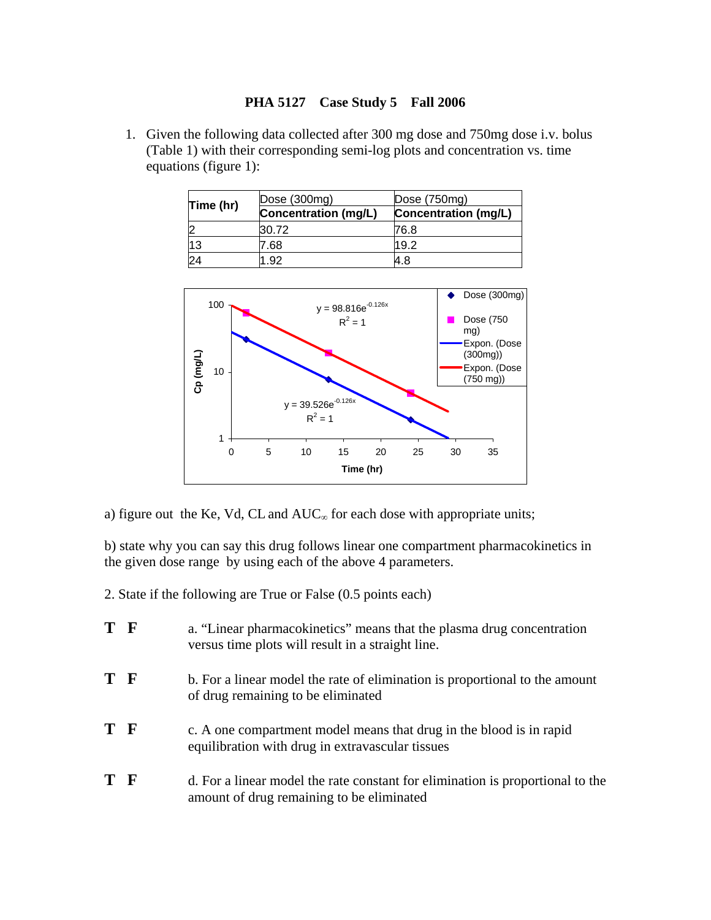## **PHA 5127 Case Study 5 Fall 2006**

1. Given the following data collected after 300 mg dose and 750mg dose i.v. bolus (Table 1) with their corresponding semi-log plots and concentration vs. time equations (figure 1):

| Time (hr) | Dose (300mg)         | Dose $(750mg)$       |
|-----------|----------------------|----------------------|
|           | Concentration (mg/L) | Concentration (mg/L) |
|           | 30.72                | 76.8                 |
| 13        | 7.68                 | 19.2                 |
|           | .92                  | 4.8                  |



a) figure out the Ke, Vd, CL and  $AUC_{\infty}$  for each dose with appropriate units;

b) state why you can say this drug follows linear one compartment pharmacokinetics in the given dose range by using each of the above 4 parameters.

2. State if the following are True or False (0.5 points each)

| T F | a. "Linear pharmacokinetics" means that the plasma drug concentration<br>versus time plots will result in a straight line.  |
|-----|-----------------------------------------------------------------------------------------------------------------------------|
| T F | b. For a linear model the rate of elimination is proportional to the amount<br>of drug remaining to be eliminated           |
| T F | c. A one compartment model means that drug in the blood is in rapid<br>equilibration with drug in extravascular tissues     |
| T F | d. For a linear model the rate constant for elimination is proportional to the<br>amount of drug remaining to be eliminated |